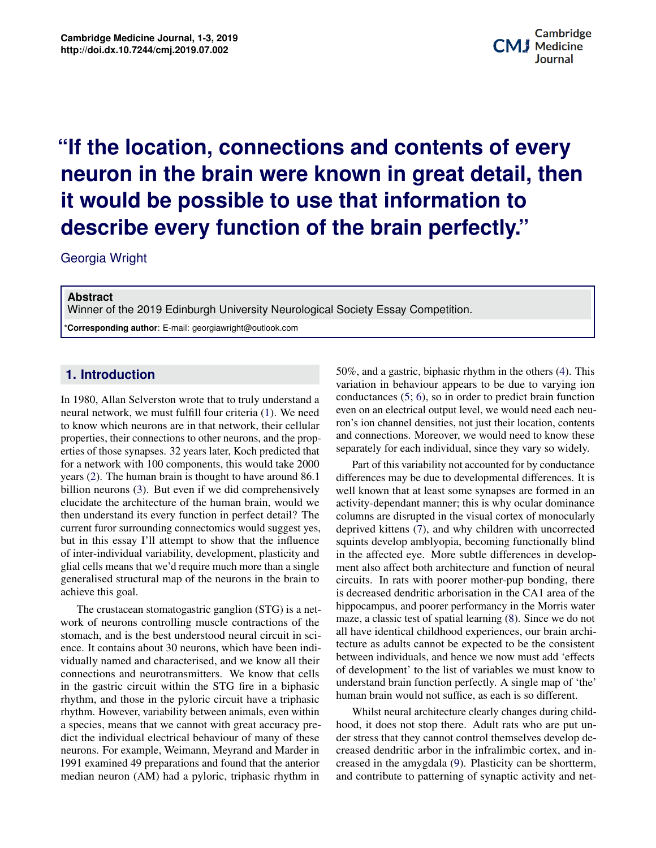## **Produced approximately incrementations Bioprinting in Regenerative Medicine neuron in the brain were known in great detail, then** it would be possible to use that information to **"If the location, connections and contents of every describe every function of the brain perfectly."**

Georgia Wright

## **Abstract**

Winner of the 2019 Edinburgh University Neurological Society Essay Competition.

\***Corresponding author**: E-mail: georgiawright@outlook.com

## **1. Introduction**

In 1980, Allan Selverston wrote that to truly understand a neural network, we must fulfill four criteria [\(1\)](#page-1-0). We need to know which neurons are in that network, their cellular properties, their connections to other neurons, and the properties of those synapses. 32 years later, Koch predicted that for a network with 100 components, this would take 2000 years [\(2\)](#page-2-0). The human brain is thought to have around 86.1 billion neurons [\(3\)](#page-2-1). But even if we did comprehensively elucidate the architecture of the human brain, would we then understand its every function in perfect detail? The current furor surrounding connectomics would suggest yes, but in this essay I'll attempt to show that the influence of inter-individual variability, development, plasticity and glial cells means that we'd require much more than a single generalised structural map of the neurons in the brain to achieve this goal.

Exomach, and is the best understood heural circuit in science. It contains about 30 neurons, which have been indi-**1 1 Background 1 International** *I***</del> <b>1 I***B* **1 I***B* **I***B* **I***B* **IC IB I***B* **IC IB IC IB IC IB IC** in the gastric circuit within the STG fire in a biphasic **3 Principles of Application/Methods of Bioprinting 2** rhythm. However, variability between animals, even within a species, means that we cannot with great accuracy preneurons. For example, Weimann, Meyrand and Marder in 1991 examined 49 preparations and found that the anterior median neuron (AM) had a pyloric, triphasic rhythm in medicine, bioprinting is beginning to play a role in regener-The crustacean stomatogastric ganglion (STG) is a network of neurons controlling muscle contractions of the stomach, and is the best understood neural circuit in scividually named and characterised, and we know all their rhythm, and those in the pyloric circuit have a triphasic dict the individual electrical behaviour of many of these

Potential applications of three-dimensional bioprinting ion<br> **bioprime** 50%, and a gastric, biphasic rhythm in the others [\(4\)](#page-2-2). This variation in behaviour appears to be due to varying ion conductances [\(5;](#page-2-3) [6\)](#page-2-4), so in order to predict brain function even on an electrical output level, we would need each neuron's ion channel densities, not just their location, contents and connections. Moreover, we would need to know these separately for each individual, since they vary so widely.

ment also affect both architecture and function of neural<br>circuits. In rats with poorer mother-pup bonding, there hippocampus, and poorer performancy in the Morris water<br>mage a aleggie test of anotial learning (2). Since we do not all have identical childhood experiences, our brain archin indi<sub>z</sub> tecture as aduits cannot be expected to be the consistent<br>1 their between individuals, and hence we now must add 'effects  $\frac{d}{dt}$  chapter of development' to the list of variables we must know to  $\mu_{\text{basic}}$  increasing or an interior perfectly. A single map of the  $\mu_{\text{basic}}$  healing the numerical velocity. In sci-<br> **Culture of Organization**<br> **Culture as adults cannot be expected to be the consistent** bhasic understand brain function perfectly. A single map of 'the' Part of this variability not accounted for by conductance differences may be due to developmental differences. It is well known that at least some synapses are formed in an activity-dependant manner; this is why ocular dominance columns are disrupted in the visual cortex of monocularly deprived kittens [\(7\)](#page-2-5), and why children with uncorrected squints develop amblyopia, becoming functionally blind in the affected eye. More subtle differences in developcircuits. In rats with poorer mother-pup bonding, there is decreased dendritic arborisation in the CA1 area of the maze, a classic test of spatial learning [\(8\)](#page-2-6). Since we do not

within Whilst neural architecture clearly changes during childinvestigation that is who are put un-<br>introl themselves develop decreased dendritic arbor in the infralimbic cortex, and inherior creased in the antyguara  $(9)$ . Frasticity can be shorterm,<br>hm in and contribute to patterning of synaptic activity and netcy pre- hood, it does not stop there. Adult rats who are put un-These der stress that they cannot control themselves develop de-<br>denim stress that they cannot control themselves develop de-the second technology have led to several factor that the inflammed concert, and in the interior creased in the amygdala [\(9\)](#page-2-7). Plasticity can be shortterm,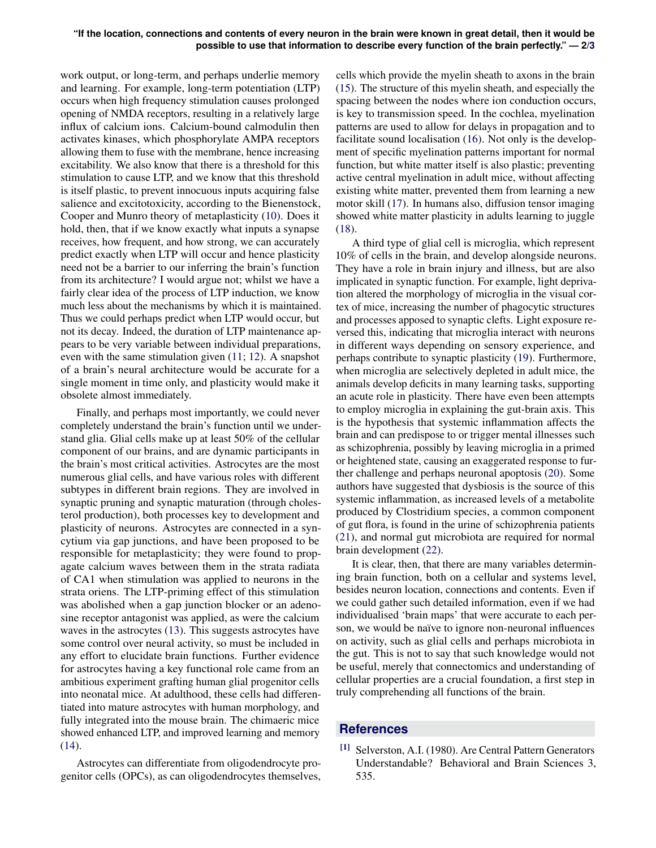work output, or long-term, and perhaps underlie memory and learning. For example, long-term potentiation (LTP) occurs when high frequency stimulation causes prolonged opening of NMDA receptors, resulting in a relatively large influx of calcium ions. Calcium-bound calmodulin then activates kinases, which phosphorylate AMPA receptors allowing them to fuse with the membrane, hence increasing excitability. We also know that there is a threshold for this stimulation to cause LTP, and we know that this threshold is itself plastic, to prevent innocuous inputs acquiring false salience and excitotoxicity, according to the Bienenstock, Cooper and Munro theory of metaplasticity [\(10\)](#page-2-9). Does it hold, then, that if we know exactly what inputs a synapse receives, how frequent, and how strong, we can accurately predict exactly when LTP will occur and hence plasticity need not be a barrier to our inferring the brain's function from its architecture? I would argue not; whilst we have a fairly clear idea of the process of LTP induction, we know much less about the mechanisms by which it is maintained. Thus we could perhaps predict when LTP would occur, but not its decay. Indeed, the duration of LTP maintenance appears to be very variable between individual preparations, even with the same stimulation given [\(11;](#page-2-10) [12\)](#page-2-11). A snapshot of a brain's neural architecture would be accurate for a single moment in time only, and plasticity would make it obsolete almost immediately.

Finally, and perhaps most importantly, we could never completely understand the brain's function until we understand glia. Glial cells make up at least 50% of the cellular component of our brains, and are dynamic participants in the brain's most critical activities. Astrocytes are the most numerous glial cells, and have various roles with different subtypes in different brain regions. They are involved in synaptic pruning and synaptic maturation (through cholesterol production), both processes key to development and plasticity of neurons. Astrocytes are connected in a syncytium via gap junctions, and have been proposed to be responsible for metaplasticity; they were found to propagate calcium waves between them in the strata radiata of CA1 when stimulation was applied to neurons in the strata oriens. The LTP-priming effect of this stimulation was abolished when a gap junction blocker or an adenosine receptor antagonist was applied, as were the calcium waves in the astrocytes [\(13\)](#page-2-12). This suggests astrocytes have some control over neural activity, so must be included in any effort to elucidate brain functions. Further evidence for astrocytes having a key functional role came from an ambitious experiment grafting human glial progenitor cells into neonatal mice. At adulthood, these cells had differentiated into mature astrocytes with human morphology, and fully integrated into the mouse brain. The chimaeric mice showed enhanced LTP, and improved learning and memory  $(14)$ .

Astrocytes can differentiate from oligodendrocyte progenitor cells (OPCs), as can oligodendrocytes themselves,

cells which provide the myelin sheath to axons in the brain [\(15\)](#page-2-14). The structure of this myelin sheath, and especially the spacing between the nodes where ion conduction occurs, is key to transmission speed. In the cochlea, myelination patterns are used to allow for delays in propagation and to facilitate sound localisation [\(16\)](#page-2-15). Not only is the development of specific myelination patterns important for normal function, but white matter itself is also plastic; preventing active central myelination in adult mice, without affecting existing white matter, prevented them from learning a new motor skill [\(17\)](#page-2-16). In humans also, diffusion tensor imaging showed white matter plasticity in adults learning to juggle [\(18\)](#page-2-17).

A third type of glial cell is microglia, which represent 10% of cells in the brain, and develop alongside neurons. They have a role in brain injury and illness, but are also implicated in synaptic function. For example, light deprivation altered the morphology of microglia in the visual cortex of mice, increasing the number of phagocytic structures and processes apposed to synaptic clefts. Light exposure reversed this, indicating that microglia interact with neurons in different ways depending on sensory experience, and perhaps contribute to synaptic plasticity [\(19\)](#page-2-18). Furthermore, when microglia are selectively depleted in adult mice, the animals develop deficits in many learning tasks, supporting an acute role in plasticity. There have even been attempts to employ microglia in explaining the gut-brain axis. This is the hypothesis that systemic inflammation affects the brain and can predispose to or trigger mental illnesses such as schizophrenia, possibly by leaving microglia in a primed or heightened state, causing an exaggerated response to further challenge and perhaps neuronal apoptosis [\(20\)](#page-2-19). Some authors have suggested that dysbiosis is the source of this systemic inflammation, as increased levels of a metabolite produced by Clostridium species, a common component of gut flora, is found in the urine of schizophrenia patients [\(21\)](#page-2-20), and normal gut microbiota are required for normal brain development [\(22\)](#page-2-21).

It is clear, then, that there are many variables determining brain function, both on a cellular and systems level, besides neuron location, connections and contents. Even if we could gather such detailed information, even if we had individualised 'brain maps' that were accurate to each person, we would be naïve to ignore non-neuronal influences on activity, such as glial cells and perhaps microbiota in the gut. This is not to say that such knowledge would not be useful, merely that connectomics and understanding of cellular properties are a crucial foundation, a first step in truly comprehending all functions of the brain.

## **References**

<span id="page-1-0"></span>[1] Selverston, A.I. (1980). Are Central Pattern Generators Understandable? Behavioral and Brain Sciences 3, 535.